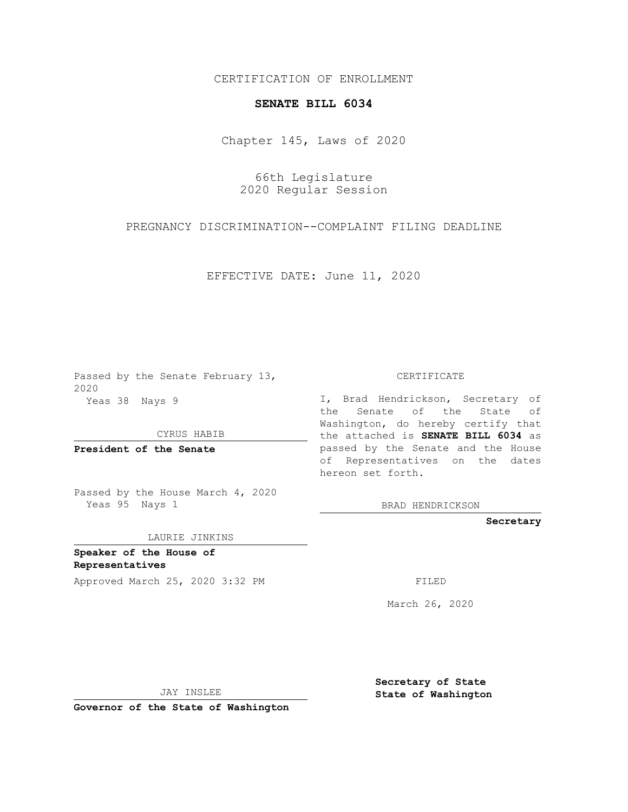## CERTIFICATION OF ENROLLMENT

## **SENATE BILL 6034**

Chapter 145, Laws of 2020

66th Legislature 2020 Regular Session

PREGNANCY DISCRIMINATION--COMPLAINT FILING DEADLINE

EFFECTIVE DATE: June 11, 2020

Passed by the Senate February 13, 2020 Yeas 38 Nays 9

CYRUS HABIB

**President of the Senate**

Passed by the House March 4, 2020 Yeas 95 Nays 1

LAURIE JINKINS

**Speaker of the House of Representatives**

Approved March 25, 2020 3:32 PM

CERTIFICATE

I, Brad Hendrickson, Secretary of the Senate of the State of Washington, do hereby certify that the attached is **SENATE BILL 6034** as passed by the Senate and the House of Representatives on the dates hereon set forth.

BRAD HENDRICKSON

**Secretary**

March 26, 2020

JAY INSLEE

**Governor of the State of Washington**

**Secretary of State State of Washington**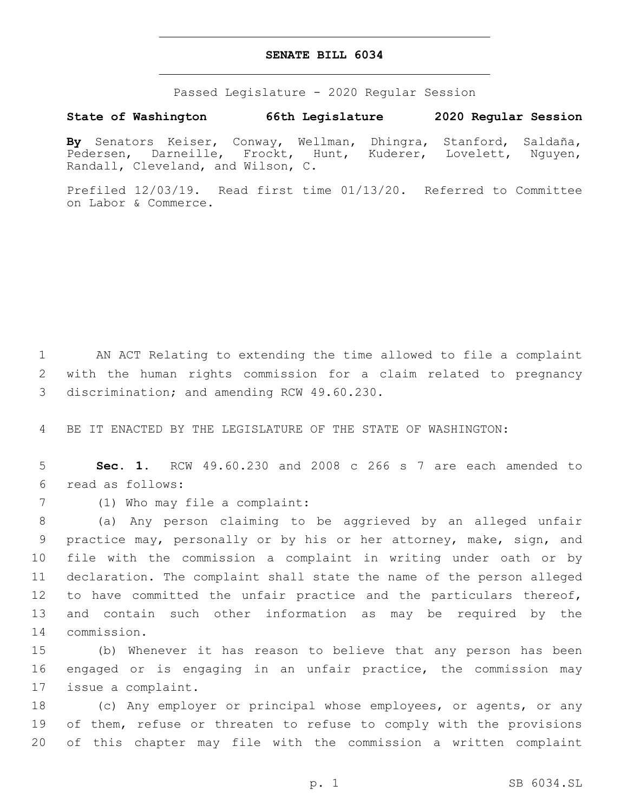## **SENATE BILL 6034**

Passed Legislature - 2020 Regular Session

**State of Washington 66th Legislature 2020 Regular Session**

**By** Senators Keiser, Conway, Wellman, Dhingra, Stanford, Saldaña, Pedersen, Darneille, Frockt, Hunt, Kuderer, Lovelett, Nguyen, Randall, Cleveland, and Wilson, C.

Prefiled 12/03/19. Read first time 01/13/20. Referred to Committee on Labor & Commerce.

1 AN ACT Relating to extending the time allowed to file a complaint 2 with the human rights commission for a claim related to pregnancy 3 discrimination; and amending RCW 49.60.230.

4 BE IT ENACTED BY THE LEGISLATURE OF THE STATE OF WASHINGTON:

5 **Sec. 1.** RCW 49.60.230 and 2008 c 266 s 7 are each amended to read as follows:6

7 (1) Who may file a complaint:

 (a) Any person claiming to be aggrieved by an alleged unfair practice may, personally or by his or her attorney, make, sign, and file with the commission a complaint in writing under oath or by declaration. The complaint shall state the name of the person alleged 12 to have committed the unfair practice and the particulars thereof, and contain such other information as may be required by the 14 commission.

15 (b) Whenever it has reason to believe that any person has been 16 engaged or is engaging in an unfair practice, the commission may 17 issue a complaint.

18 (c) Any employer or principal whose employees, or agents, or any 19 of them, refuse or threaten to refuse to comply with the provisions 20 of this chapter may file with the commission a written complaint